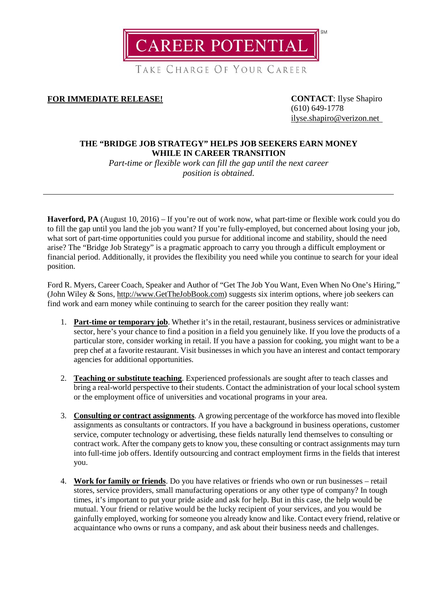**CAREER POTENTIAL** 

TAKE CHARGE OF YOUR CAREER

**FOR IMMEDIATE RELEASE! CONTACT**: Ilyse Shapiro

(610) 649-1778 [ilyse.shapiro@verizon.net](mailto:ilyse.shapiro@verizon.net)

## **THE "BRIDGE JOB STRATEGY" HELPS JOB SEEKERS EARN MONEY WHILE IN CAREER TRANSITION**

*Part-time or flexible work can fill the gap until the next career position is obtained.*

**Haverford, PA** (August 10, 2016) – If you're out of work now, what part-time or flexible work could you do to fill the gap until you land the job you want? If you're fully-employed, but concerned about losing your job, what sort of part-time opportunities could you pursue for additional income and stability, should the need arise? The "Bridge Job Strategy" is a pragmatic approach to carry you through a difficult employment or financial period. Additionally, it provides the flexibility you need while you continue to search for your ideal position.

Ford R. Myers, Career Coach, Speaker and Author of "Get The Job You Want, Even When No One's Hiring," (John Wiley & Sons, [http://www.GetTheJobBook.com\)](http://www.getthejobbook.com/) suggests six interim options, where job seekers can find work and earn money while continuing to search for the career position they really want:

- 1. **Part-time or temporary job**. Whether it's in the retail, restaurant, business services or administrative sector, here's your chance to find a position in a field you genuinely like. If you love the products of a particular store, consider working in retail. If you have a passion for cooking, you might want to be a prep chef at a favorite restaurant. Visit businesses in which you have an interest and contact temporary agencies for additional opportunities.
- 2. **Teaching or substitute teaching**. Experienced professionals are sought after to teach classes and bring a real-world perspective to their students. Contact the administration of your local school system or the employment office of universities and vocational programs in your area.
- 3. **Consulting or contract assignments**. A growing percentage of the workforce has moved into flexible assignments as consultants or contractors. If you have a background in business operations, customer service, computer technology or advertising, these fields naturally lend themselves to consulting or contract work. After the company gets to know you, these consulting or contract assignments may turn into full-time job offers. Identify outsourcing and contract employment firms in the fields that interest you.
- 4. **Work for family or friends**. Do you have relatives or friends who own or run businesses retail stores, service providers, small manufacturing operations or any other type of company? In tough times, it's important to put your pride aside and ask for help. But in this case, the help would be mutual. Your friend or relative would be the lucky recipient of your services, and you would be gainfully employed, working for someone you already know and like. Contact every friend, relative or acquaintance who owns or runs a company, and ask about their business needs and challenges.